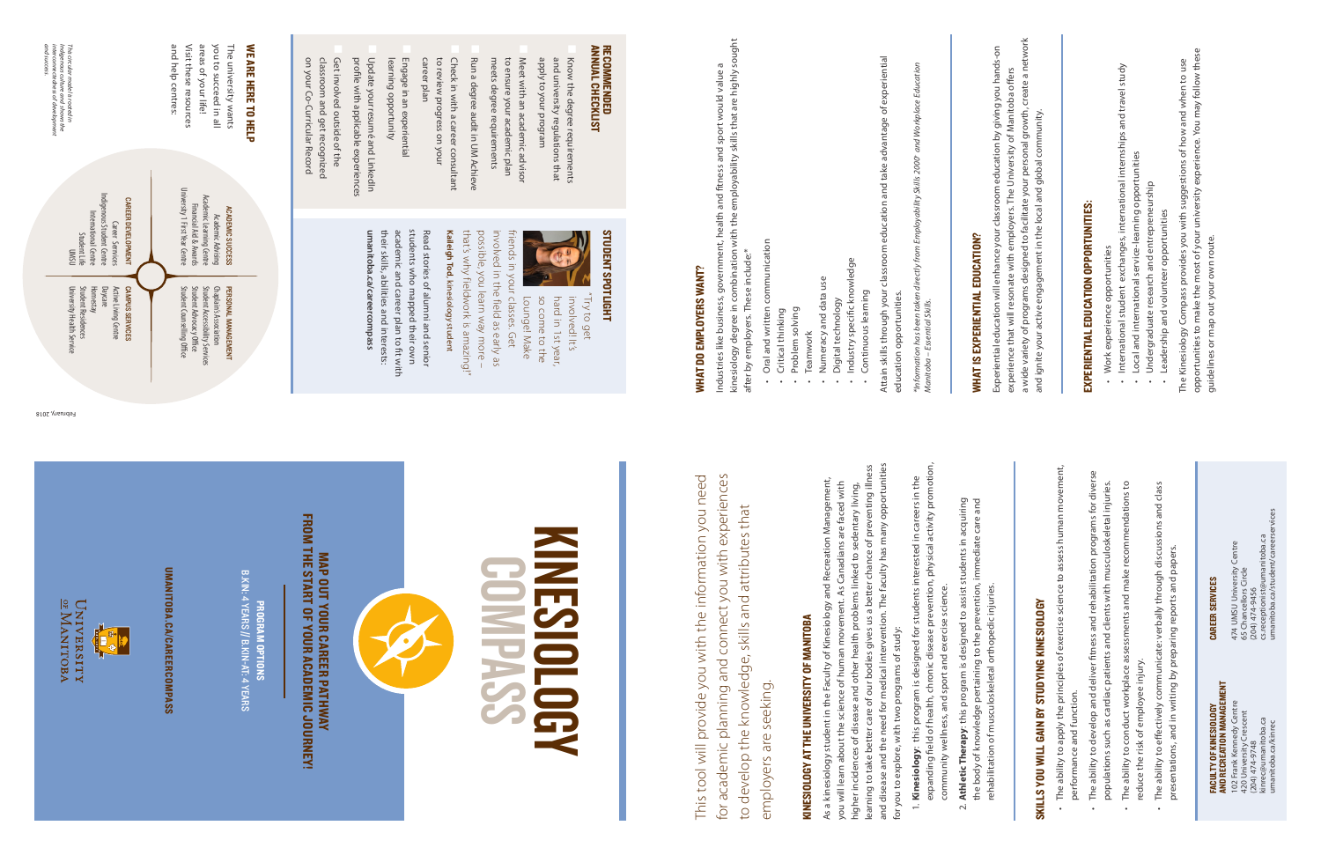This tool will provide you with the information you need for academic planning and connect you with experiences This tool will provide you with the information you need for academic planning and connect you with experiences to develop the knowledge, skills and attributes that to develop the knowledge, skills and attributes that employers are seeking. employers are seeking.

# KINESIOLOGY AT THE UNIVERSITY OF MANITOBA KINESIOLOGY AT THE UNIVERSITY OF MANITOBA

- expanding field of health, chronic disease prevention, physical activity promotion, expanding field of health, chronic disease prevention, physical activity promotion, 1. Kinesiology: this program is designed for students interested in careers in the 1. **Kinesiology**: this program is designed for students interested in careers in the community wellness, and sport and exercise science.
	- 2. **Athletic Therapy**: this program is designed to assist students in acquiring 2. Athletic Therapy: this program is designed to assist students in acquiring community wellness, and sport and exercise science.

and disease and the need for medical intervention. The faculty has many opportunities higher incidences of disease and other health problems linked to sedentary living,<br>learning to take better care of our bodies gives us a better chance of preventing illness learning to take better care of our bodies gives us a better chance of preventing illness and disease and the need for medical intervention. The faculty has many opportunities As a kinesiology student in the Faculty of Kinesiology and Recreation Management, As a kinesiology student in the Faculty of Kinesiology and Recreation Management, you will learn about the science of human movement. As Canadians are faced with you will learn about the science of human movement. As Canadians are faced with higher incidences of disease and other health problems linked to sedentary living, for you to explore, with two programs of study: for you to explore, with two programs of study:

kinesiology degree in combination with the employability skills that are highly sought<br>after by employers. These include:\* after by employers. These include:\*

- Oral and written communication Oral and written communication
- Critical thinking Critical thinking •
- 
- Problem solving Problem solving
- Teamwork Teamwork
- Numeracy and data use Numeracy and data use •
- Digital technology<br>Industry specific knowledge Digital technology
	- Industry specific knowledge Continuous learning Continuous learning •
		-

Employability Skills 2000<sup>+</sup> and Workplace Education from ä

Attain skills through your classroom education and take advantage of experiential Attain skills through your classroom education and take advantage of experiential education opportunities. education opportunities.

# MAP OUT YOUR CAREER PATHWAY<br>FROM THE START OF YOUR ACADEMIC JOURNEY! FROM THE START OF YOUR ACADEMIC JOURNEY! MAP OUT YOUR CAREER PATHWAY



ANNUAL CHECKLIST RECOMMENDED

RECOMMENDED<br>Annual Checklist

## kinesiology degree in combination with the employability skills that are highly sought Industries like business, government, health and fitness and sport would value a Industries like business, government, health and fitness and sport would value a **WHAT DO EMPLOYERS WANT?** WHAT DO EMPLOYERS WANT?

**ACADEMIC SUCCESS<br>Academic Learning Centre<br>Academic Learning Centre<br>Financial Aid & Awards**<br>University 1 First Year Centre University 1 First Year Centre Academic Learning Centre

*\*Information has been taken directly from Employability Skills 2000+ and Workplace Education*  \*Information has been taken<br>Manitoba – Essential Skills. *Manitoba – Essential Skills.*

This circular model is rooted in<br>Indigenous culture and shows the<br>interconnectedness of development<br>and success. *and success. interconnectedness of development* 

> UNIVERSITY<br>UNIVERSITY E BER

UMANITOBA.CA/CAREERCOMPASS UMANITOBA.CA/CAREERCOMPASS

# KINESIOLOGY KINESIOLOGY COMPASS

PROGRAM OPTIONS B.KIN: 4 YEARS PROGRAM OPTIONS<br>B.KIN: 4 YEARS // B.KIN-AT: 4 YEARS B.KIN-AT: 4 YEARS

apply to your program

mengong nuo vour program

Meet with an academic advisor

and university regulations that Know the degree requirements

Know the degree requirements<br>and university regulations that

meets degree requirements to ensure your academic plan Meet with an academic advisor

meets degree requirements to ensure your academic plan

Run a degree audit in UM Achieve

Run a degree audit in UM Achieve

career plan

to review progress on your Check in with a career consultant

to review progress on your Check in with a career consultant

learning opportunity Engage in an experiential

learning opportunity Engage in an experiential

profile with applicable experiences Update your resumé and LinkedIn

Update your resumé and LinkedIn profile with applicable experiences

on your Co-Curricular Record classroom and get recognized Get involved outside of the

on your Co-Curricular Record classroom and get recognized Get involved outside of the

| Experiential education will enhance your classroom education by giving you hands-on<br><b>WHAT IS EXPERIENTIAL EDUCATION?</b> | experience that will resonate with employers. The University of Manitoba offers | a wide variety of programs designed to facilitate your personal growth, create a network<br>and ignite your active engagement in the local and global community. |                                                                                   | EXPERIENTIAL EDUCATION OPPORTUNITIES:                                              | Work experience opportunities                                                   | · International student exchanges, international internships and travel study<br>Local and international service-learning opportunities | Undergraduate research and entrepreneurship<br>Leadership and volunteer opportunities<br>$\bullet$ | The Kinesiology Compass provides you with suggestions of how and when to use | opportunities to make the most of your university experience. You may follow these<br>guidelines or map out your own route. |                                                                                                                                                |
|-------------------------------------------------------------------------------------------------------------------------------|---------------------------------------------------------------------------------|------------------------------------------------------------------------------------------------------------------------------------------------------------------|-----------------------------------------------------------------------------------|------------------------------------------------------------------------------------|---------------------------------------------------------------------------------|-----------------------------------------------------------------------------------------------------------------------------------------|----------------------------------------------------------------------------------------------------|------------------------------------------------------------------------------|-----------------------------------------------------------------------------------------------------------------------------|------------------------------------------------------------------------------------------------------------------------------------------------|
| the body of knowledge pertaining to the prevention, immediate care and                                                        |                                                                                 |                                                                                                                                                                  | The ability to apply the principles of exercise science to assess human movement, | The ability to develop and deliver fitness and rehabilitation programs for diverse | populations such as cardiac patients and clients with musculoskeletal injuries. | The ability to conduct workplace assessments and make recommendations to                                                                | and class<br>The ability to effectively communicate: verbally through discussions                  |                                                                              | <b>CAREER SERVICES</b>                                                                                                      | umanitoba.ca/student/careerservices<br>cs.receptionist@umanitoba.ca<br>474 UMSU University Centre<br>65 Chancellors Circle<br>$(204)$ 474-9456 |
| rehabilitation of musculoskeletal orthopedic injuries.                                                                        |                                                                                 | SKILLS YOU WILL GAIN BY STUDYING KINESIOLOGY                                                                                                                     | performance and function.                                                         |                                                                                    |                                                                                 | reduce the risk of employee injury.                                                                                                     | presentations, and in writing by preparing reports and papers.                                     |                                                                              | AND RECREATION MANAGEMENT<br><b>FACULTY OF KINESIOLOGY</b>                                                                  | 102 Frank Kennedy Centre<br>420 University Crescent<br>kinrec@umanitoba.ca<br>umanitoba.ca/kinrec<br>$(204)$ 474-9748                          |

STUDENT SPOTLIGHT

STUDENT SPOTLIGHT

"Try to get

Lounge! Make so come to the hard in 1st year, involved! It's

Lounge! Make so come to the hard in 1st year, involved! It's

in the field as early as

our classes. Get

**Kaileigh**

that's why fieldwork is amazing!" possible, you learn way more – involved in the field as early as friends in your classes. Get

that's why fieldwork is amazing!" possible, you learn way more

**Tod**

, kinesiology student

Read stories of alumni and senior

**umanitoba.ca/careercompass** their skills, abilities and interests: academic and career plan to fit with students who mapped their own Read stories of alumni and senior

umanitoba.ca/careercompass their skills, abilities and interests: students who mapped their own<br>academic and career plan to fit with

and help centres: Visit these resources areas of your life! you to succeed in all The university wants WE ARE HERE TO HELP

and help centres: Visit these resources you to succeed in all<br>areas of your life!

**PERSONAL MANAGEMENT**<br>Chaplain's Association<br>Student Accessibility Services<br>Student Advocacy Office<br>Student Counselling Office

Career Services<br>Indigenous Student Centre<br>Indigenous Student Centre<br>International Centre Indigenous Student Centre **CAREER DEVELOPMENT** CAREER DEVELOPMENT International Centre Career Serrvices x....<br>Student Life<br>UMSU Student Life CAMPUS SERVICES AMPUS SERVICES

ACADEMIC SUCCESS Academic Advising Financial Aid & Awards

The university wants WE ARE HERE TO HELP

University Health Service Student Residences Homestay<br>Student Residences<br>University Health Service Active Living Centre<br>Daycare Active Living Centre

Student Counselling Office Student Advocacy Office Student Accessibility Services Chaplain's Association PERSONAL MANAGEMENT

### *Indigenous culture and shows the This circular model is rooted in*

February, 2018